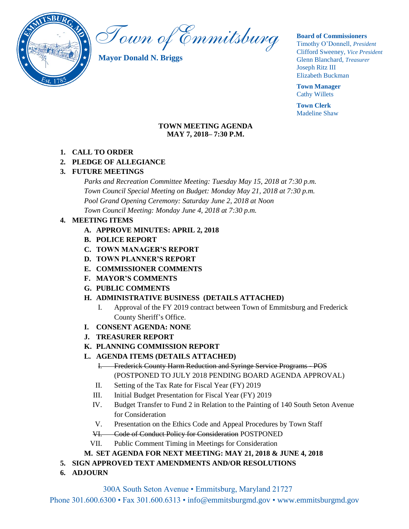

Town of Emmitsburg

**Mayor Donald N. Briggs**

### **Board of Commissioners**

Timothy O'Donnell, *President*  Clifford Sweeney, *Vice President*  Glenn Blanchard, *Treasurer*  Joseph Ritz III Elizabeth Buckman

**Town Manager** Cathy Willets

**Town Clerk** Madeline Shaw

## **TOWN MEETING AGENDA MAY 7, 2018– 7:30 P.M.**

**1. CALL TO ORDER**

# **2. PLEDGE OF ALLEGIANCE**

# **3. FUTURE MEETINGS**

*Parks and Recreation Committee Meeting: Tuesday May 15, 2018 at 7:30 p.m. Town Council Special Meeting on Budget: Monday May 21, 2018 at 7:30 p.m. Pool Grand Opening Ceremony: Saturday June 2, 2018 at Noon Town Council Meeting: Monday June 4, 2018 at 7:30 p.m.*

# **4. MEETING ITEMS**

- **A. APPROVE MINUTES: APRIL 2, 2018**
- **B. POLICE REPORT**
- **C. TOWN MANAGER'S REPORT**
- **D. TOWN PLANNER'S REPORT**
- **E. COMMISSIONER COMMENTS**
- **F. MAYOR'S COMMENTS**
- **G. PUBLIC COMMENTS**

# **H. ADMINISTRATIVE BUSINESS (DETAILS ATTACHED)**

- I. Approval of the FY 2019 contract between Town of Emmitsburg and Frederick County Sheriff's Office.
- **I. CONSENT AGENDA: NONE**
- **J. TREASURER REPORT**
- **K. PLANNING COMMISSION REPORT**

# **L. AGENDA ITEMS (DETAILS ATTACHED)**

- I. Frederick County Harm Reduction and Syringe Service Programs POS (POSTPONED TO JULY 2018 PENDING BOARD AGENDA APPROVAL)
- II. Setting of the Tax Rate for Fiscal Year (FY) 2019
- III. Initial Budget Presentation for Fiscal Year (FY) 2019
- IV. Budget Transfer to Fund 2 in Relation to the Painting of 140 South Seton Avenue for Consideration
- V. Presentation on the Ethics Code and Appeal Procedures by Town Staff
- VI. Code of Conduct Policy for Consideration POSTPONED
- VII. Public Comment Timing in Meetings for Consideration
- **M. SET AGENDA FOR NEXT MEETING: MAY 21, 2018 & JUNE 4, 2018**
- **5. SIGN APPROVED TEXT AMENDMENTS AND/OR RESOLUTIONS**
- **6. ADJOURN**

300A South Seton Avenue • Emmitsburg, Maryland 21727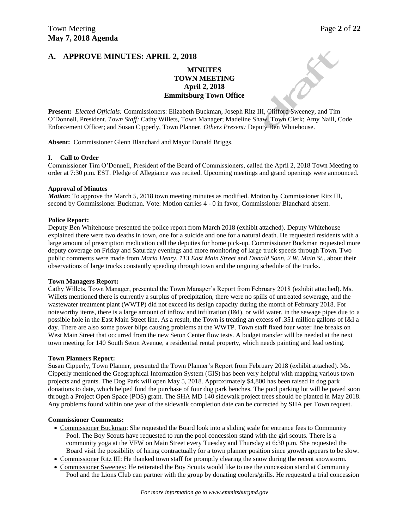## **A. APPROVE MINUTES: APRIL 2, 2018**

# **MINUTES TOWN MEETING April 2, 2018 Emmitsburg Town Office**

**Present:** *Elected Officials:* Commissioners: Elizabeth Buckman, Joseph Ritz III, Clifford Sweeney, and Tim O'Donnell, President. *Town Staff:* Cathy Willets, Town Manager; Madeline Shaw, Town Clerk; Amy Naill, Code Enforcement Officer; and Susan Cipperly, Town Planner. *Others Present:* Deputy Ben Whitehouse.

**Absent:** Commissioner Glenn Blanchard and Mayor Donald Briggs.

#### **I. Call to Order**

Commissioner Tim O'Donnell, President of the Board of Commissioners, called the April 2, 2018 Town Meeting to order at 7:30 p.m. EST. Pledge of Allegiance was recited. Upcoming meetings and grand openings were announced.

#### **Approval of Minutes**

*Motion***:** To approve the March 5, 2018 town meeting minutes as modified. Motion by Commissioner Ritz III, second by Commissioner Buckman. Vote: Motion carries 4 - 0 in favor, Commissioner Blanchard absent.

#### **Police Report:**

Deputy Ben Whitehouse presented the police report from March 2018 (exhibit attached). Deputy Whitehouse explained there were two deaths in town, one for a suicide and one for a natural death. He requested residents with a large amount of prescription medication call the deputies for home pick-up. Commissioner Buckman requested more deputy coverage on Friday and Saturday evenings and more monitoring of large truck speeds through Town. Two public comments were made from *Maria Henry, 113 East Main Street* and *Donald Sonn, 2 W. Main St.*, about their observations of large trucks constantly speeding through town and the ongoing schedule of the trucks.

#### **Town Managers Report:**

Cathy Willets, Town Manager, presented the Town Manager's Report from February 2018 (exhibit attached). Ms. Willets mentioned there is currently a surplus of precipitation, there were no spills of untreated sewerage, and the wastewater treatment plant (WWTP) did not exceed its design capacity during the month of February 2018. For noteworthy items, there is a large amount of inflow and infiltration (I&I), or wild water, in the sewage pipes due to a possible hole in the East Main Street line. As a result, the Town is treating an excess of .351 million gallons of I&I a day. There are also some power blips causing problems at the WWTP. Town staff fixed four water line breaks on West Main Street that occurred from the new Seton Center flow tests. A budget transfer will be needed at the next town meeting for 140 South Seton Avenue, a residential rental property, which needs painting and lead testing.

#### **Town Planners Report:**

Susan Cipperly, Town Planner, presented the Town Planner's Report from February 2018 (exhibit attached). Ms. Cipperly mentioned the Geographical Information System (GIS) has been very helpful with mapping various town projects and grants. The Dog Park will open May 5, 2018. Approximately \$4,800 has been raised in dog park donations to date, which helped fund the purchase of four dog park benches. The pool parking lot will be paved soon through a Project Open Space (POS) grant. The SHA MD 140 sidewalk project trees should be planted in May 2018. Any problems found within one year of the sidewalk completion date can be corrected by SHA per Town request.

#### **Commissioner Comments:**

- Commissioner Buckman: She requested the Board look into a sliding scale for entrance fees to Community Pool. The Boy Scouts have requested to run the pool concession stand with the girl scouts. There is a community yoga at the VFW on Main Street every Tuesday and Thursday at 6:30 p.m. She requested the Board visit the possibility of hiring contractually for a town planner position since growth appears to be slow.
- Commissioner Ritz III: He thanked town staff for promptly clearing the snow during the recent snowstorm.
- Commissioner Sweeney: He reiterated the Boy Scouts would like to use the concession stand at Community Pool and the Lions Club can partner with the group by donating coolers/grills. He requested a trial concession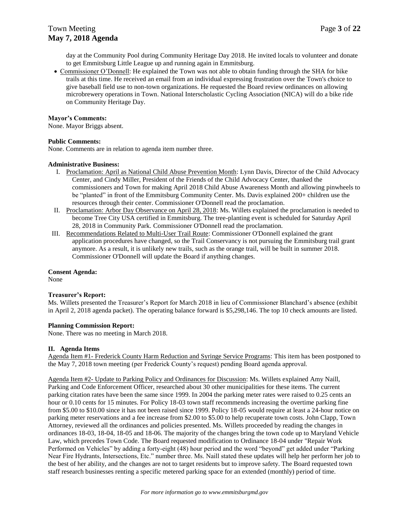day at the Community Pool during Community Heritage Day 2018. He invited locals to volunteer and donate to get Emmitsburg Little League up and running again in Emmitsburg.

 Commissioner O'Donnell: He explained the Town was not able to obtain funding through the SHA for bike trails at this time. He received an email from an individual expressing frustration over the Town's choice to give baseball field use to non-town organizations. He requested the Board review ordinances on allowing microbrewery operations in Town. National Interscholastic Cycling Association (NICA) will do a bike ride on Community Heritage Day.

#### **Mayor's Comments:**

None. Mayor Briggs absent.

#### **Public Comments:**

None. Comments are in relation to agenda item number three.

#### **Administrative Business:**

- I. Proclamation: April as National Child Abuse Prevention Month: Lynn Davis, Director of the Child Advocacy Center, and Cindy Miller, President of the Friends of the Child Advocacy Center, thanked the commissioners and Town for making April 2018 Child Abuse Awareness Month and allowing pinwheels to be "planted" in front of the Emmitsburg Community Center. Ms. Davis explained 200+ children use the resources through their center. Commissioner O'Donnell read the proclamation.
- II. Proclamation: Arbor Day Observance on April 28, 2018: Ms. Willets explained the proclamation is needed to become Tree City USA certified in Emmitsburg. The tree-planting event is scheduled for Saturday April 28, 2018 in Community Park. Commissioner O'Donnell read the proclamation.
- III. Recommendations Related to Multi-User Trail Route: Commissioner O'Donnell explained the grant application procedures have changed, so the Trail Conservancy is not pursuing the Emmitsburg trail grant anymore. As a result, it is unlikely new trails, such as the orange trail, will be built in summer 2018. Commissioner O'Donnell will update the Board if anything changes.

#### **Consent Agenda:**

None

#### **Treasurer's Report:**

Ms. Willets presented the Treasurer's Report for March 2018 in lieu of Commissioner Blanchard's absence (exhibit in April 2, 2018 agenda packet). The operating balance forward is \$5,298,146. The top 10 check amounts are listed.

#### **Planning Commission Report:**

None. There was no meeting in March 2018.

#### **II. Agenda Items**

Agenda Item #1- Frederick County Harm Reduction and Syringe Service Programs: This item has been postponed to the May 7, 2018 town meeting (per Frederick County's request) pending Board agenda approval.

Agenda Item #2- Update to Parking Policy and Ordinances for Discussion: Ms. Willets explained Amy Naill, Parking and Code Enforcement Officer, researched about 30 other municipalities for these items. The current parking citation rates have been the same since 1999. In 2004 the parking meter rates were raised to 0.25 cents an hour or 0.10 cents for 15 minutes. For Policy 18-03 town staff recommends increasing the overtime parking fine from \$5.00 to \$10.00 since it has not been raised since 1999. Policy 18-05 would require at least a 24-hour notice on parking meter reservations and a fee increase from \$2.00 to \$5.00 to help recuperate town costs. John Clapp, Town Attorney, reviewed all the ordinances and policies presented. Ms. Willets proceeded by reading the changes in ordinances 18-03, 18-04, 18-05 and 18-06. The majority of the changes bring the town code up to Maryland Vehicle Law, which precedes Town Code. The Board requested modification to Ordinance 18-04 under "Repair Work Performed on Vehicles" by adding a forty-eight (48) hour period and the word "beyond" get added under "Parking Near Fire Hydrants, Intersections, Etc." number three. Ms. Naill stated these updates will help her perform her job to the best of her ability, and the changes are not to target residents but to improve safety. The Board requested town staff research businesses renting a specific metered parking space for an extended (monthly) period of time.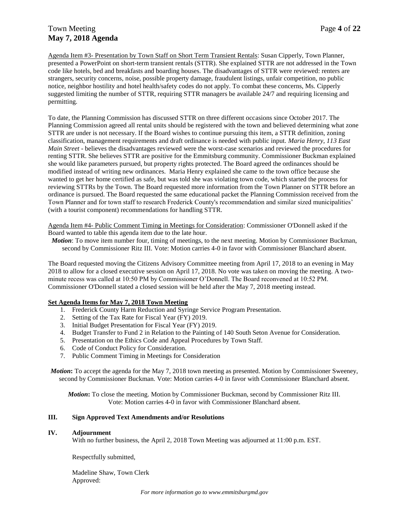# Town Meeting **Page 4** of 22 **May 7, 2018 Agenda**

Agenda Item #3- Presentation by Town Staff on Short Term Transient Rentals: Susan Cipperly, Town Planner, presented a PowerPoint on short-term transient rentals (STTR). She explained STTR are not addressed in the Town code like hotels, bed and breakfasts and boarding houses. The disadvantages of STTR were reviewed: renters are strangers, security concerns, noise, possible property damage, fraudulent listings, unfair competition, no public notice, neighbor hostility and hotel health/safety codes do not apply. To combat these concerns, Ms. Cipperly suggested limiting the number of STTR, requiring STTR managers be available 24/7 and requiring licensing and permitting.

To date, the Planning Commission has discussed STTR on three different occasions since October 2017. The Planning Commission agreed all rental units should be registered with the town and believed determining what zone STTR are under is not necessary. If the Board wishes to continue pursuing this item, a STTR definition, zoning classification, management requirements and draft ordinance is needed with public input. *Maria Henry, 113 East Main Street* - believes the disadvantages reviewed were the worst-case scenarios and reviewed the procedures for renting STTR. She believes STTR are positive for the Emmitsburg community. Commissioner Buckman explained she would like parameters pursued, but property rights protected. The Board agreed the ordinances should be modified instead of writing new ordinances. Maria Henry explained she came to the town office because she wanted to get her home certified as safe, but was told she was violating town code, which started the process for reviewing STTRs by the Town. The Board requested more information from the Town Planner on STTR before an ordinance is pursued. The Board requested the same educational packet the Planning Commission received from the Town Planner and for town staff to research Frederick County's recommendation and similar sized municipalities' (with a tourist component) recommendations for handling STTR.

Agenda Item #4- Public Comment Timing in Meetings for Consideration: Commissioner O'Donnell asked if the Board wanted to table this agenda item due to the late hour.

*Motion*: To move item number four, timing of meetings, to the next meeting. Motion by Commissioner Buckman, second by Commissioner Ritz III. Vote: Motion carries 4-0 in favor with Commissioner Blanchard absent.

The Board requested moving the Citizens Advisory Committee meeting from April 17, 2018 to an evening in May 2018 to allow for a closed executive session on April 17, 2018. No vote was taken on moving the meeting. A twominute recess was called at 10:50 PM by Commissioner O'Donnell. The Board reconvened at 10:52 PM. Commissioner O'Donnell stated a closed session will be held after the May 7, 2018 meeting instead.

#### **Set Agenda Items for May 7, 2018 Town Meeting**

- 1. Frederick County Harm Reduction and Syringe Service Program Presentation.
- 2. Setting of the Tax Rate for Fiscal Year (FY) 2019.
- 3. Initial Budget Presentation for Fiscal Year (FY) 2019.
- 4. Budget Transfer to Fund 2 in Relation to the Painting of 140 South Seton Avenue for Consideration.
- 5. Presentation on the Ethics Code and Appeal Procedures by Town Staff.
- 6. Code of Conduct Policy for Consideration.
- 7. Public Comment Timing in Meetings for Consideration

*Motion***:** To accept the agenda for the May 7, 2018 town meeting as presented. Motion by Commissioner Sweeney, second by Commissioner Buckman. Vote: Motion carries 4-0 in favor with Commissioner Blanchard absent.

*Motion***:** To close the meeting. Motion by Commissioner Buckman, second by Commissioner Ritz III. Vote: Motion carries 4-0 in favor with Commissioner Blanchard absent.

#### **III. Sign Approved Text Amendments and/or Resolutions**

#### **IV. Adjournment**

With no further business, the April 2, 2018 Town Meeting was adjourned at 11:00 p.m. EST.

Respectfully submitted,

Madeline Shaw, Town Clerk Approved: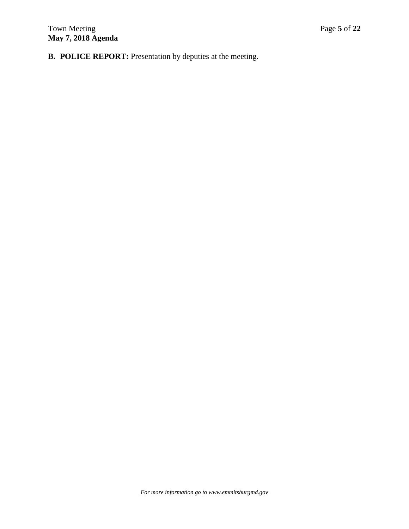**B. POLICE REPORT:** Presentation by deputies at the meeting.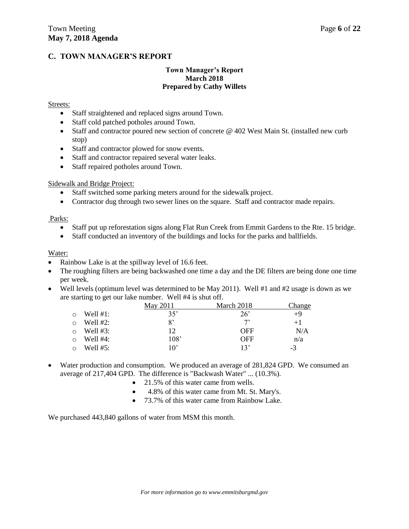# **C. TOWN MANAGER'S REPORT**

## **Town Manager's Report March 2018 Prepared by Cathy Willets**

### Streets:

- Staff straightened and replaced signs around Town.
- Staff cold patched potholes around Town.
- Staff and contractor poured new section of concrete @ 402 West Main St. (installed new curb stop)
- Staff and contractor plowed for snow events.
- Staff and contractor repaired several water leaks.
- Staff repaired potholes around Town.

### Sidewalk and Bridge Project:

- Staff switched some parking meters around for the sidewalk project.
- Contractor dug through two sewer lines on the square. Staff and contractor made repairs.

### Parks:

- Staff put up reforestation signs along Flat Run Creek from Emmit Gardens to the Rte. 15 bridge.
- Staff conducted an inventory of the buildings and locks for the parks and ballfields.

### Water:

- Rainbow Lake is at the spillway level of 16.6 feet.
- The roughing filters are being backwashed one time a day and the DE filters are being done one time per week.
- Well levels (optimum level was determined to be May 2011). Well  $#1$  and  $#2$  usage is down as we are starting to get our lake number. Well #4 is shut off.

|          |             | May 2011 | March 2018   | <u>Change</u> |
|----------|-------------|----------|--------------|---------------|
| $\Omega$ | Well $#1$ : | 35'      | $26^{\circ}$ | $+9$          |
| ◯        | Well $#2$ : | 8'       | 7'           | $+1$          |
| $\Omega$ | Well $#3$ : | 12       | <b>OFF</b>   | N/A           |
| $\circ$  | Well $#4$ : | 108'     | <b>OFF</b>   | n/a           |
| $\circ$  | Well $#5:$  | 10'      | 13'          | $-3$          |

- Water production and consumption. We produced an average of 281,824 GPD. We consumed an average of 217,404 GPD. The difference is "Backwash Water" ... (10.3%).
	- 21.5% of this water came from wells.
	- 4.8% of this water came from Mt. St. Mary's.
	- 73.7% of this water came from Rainbow Lake.

We purchased 443,840 gallons of water from MSM this month.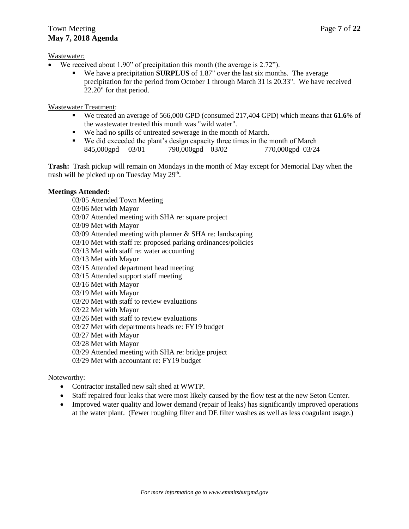Wastewater:

- We received about 1.90" of precipitation this month (the average is 2.72").
	- We have a precipitation **SURPLUS** of 1.87" over the last six months. The average precipitation for the period from October 1 through March 31 is 20.33". We have received 22.20" for that period.

Wastewater Treatment:

- We treated an average of 566,000 GPD (consumed 217,404 GPD) which means that **61.6**% of the wastewater treated this month was "wild water".
- We had no spills of untreated sewerage in the month of March.
- We did exceeded the plant's design capacity three times in the month of March 845,000gpd 03/01 790,000gpd 03/02 770,000gpd 03/24

**Trash:** Trash pickup will remain on Mondays in the month of May except for Memorial Day when the trash will be picked up on Tuesday May 29<sup>th</sup>.

## **Meetings Attended:**

03/05 Attended Town Meeting 03/06 Met with Mayor 03/07 Attended meeting with SHA re: square project 03/09 Met with Mayor 03/09 Attended meeting with planner & SHA re: landscaping 03/10 Met with staff re: proposed parking ordinances/policies 03/13 Met with staff re: water accounting 03/13 Met with Mayor 03/15 Attended department head meeting 03/15 Attended support staff meeting 03/16 Met with Mayor 03/19 Met with Mayor 03/20 Met with staff to review evaluations 03/22 Met with Mayor 03/26 Met with staff to review evaluations 03/27 Met with departments heads re: FY19 budget 03/27 Met with Mayor 03/28 Met with Mayor 03/29 Attended meeting with SHA re: bridge project 03/29 Met with accountant re: FY19 budget

# Noteworthy:

- Contractor installed new salt shed at WWTP.
- Staff repaired four leaks that were most likely caused by the flow test at the new Seton Center.
- Improved water quality and lower demand (repair of leaks) has significantly improved operations at the water plant. (Fewer roughing filter and DE filter washes as well as less coagulant usage.)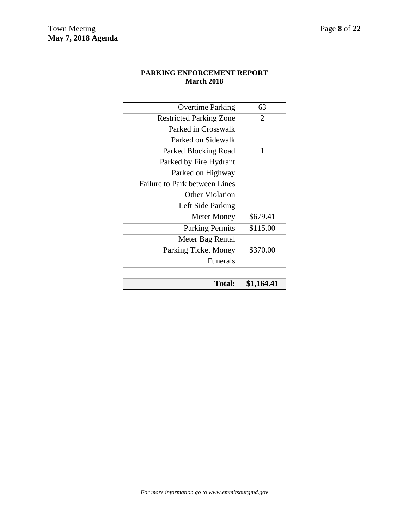## **PARKING ENFORCEMENT REPORT March 2018**

| <b>Total:</b>                  | \$1,164.41 |
|--------------------------------|------------|
|                                |            |
| <b>Funerals</b>                |            |
| <b>Parking Ticket Money</b>    | \$370.00   |
| Meter Bag Rental               |            |
| <b>Parking Permits</b>         | \$115.00   |
| Meter Money                    | \$679.41   |
| Left Side Parking              |            |
| <b>Other Violation</b>         |            |
| Failure to Park between Lines  |            |
| Parked on Highway              |            |
| Parked by Fire Hydrant         |            |
| Parked Blocking Road           | 1          |
| Parked on Sidewalk             |            |
| Parked in Crosswalk            |            |
| <b>Restricted Parking Zone</b> | 2          |
| <b>Overtime Parking</b>        | 63         |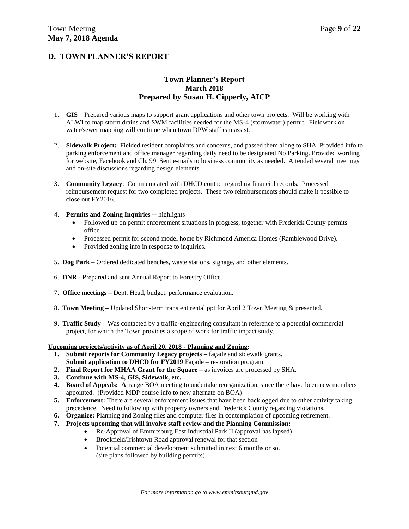# **D. TOWN PLANNER'S REPORT**

# **Town Planner's Report March 2018 Prepared by Susan H. Cipperly, AICP**

- 1. **GIS** Prepared various maps to support grant applications and other town projects. Will be working with ALWI to map storm drains and SWM facilities needed for the MS-4 (stormwater) permit. Fieldwork on water/sewer mapping will continue when town DPW staff can assist.
- 2. **Sidewalk Project:** Fielded resident complaints and concerns, and passed them along to SHA. Provided info to parking enforcement and office manager regarding daily need to be designated No Parking. Provided wording for website, Facebook and Ch. 99. Sent e-mails to business community as needed. Attended several meetings and on-site discussions regarding design elements.
- 3. **Community Legacy**: Communicated with DHCD contact regarding financial records. Processed reimbursement request for two completed projects. These two reimbursements should make it possible to close out FY2016.
- 4. **Permits and Zoning Inquiries --** highlights
	- Followed up on permit enforcement situations in progress, together with Frederick County permits office.
	- Processed permit for second model home by Richmond America Homes (Ramblewood Drive).
	- Provided zoning info in response to inquiries.
- 5. **Dog Park**  Ordered dedicated benches, waste stations, signage, and other elements.
- 6. **DNR** Prepared and sent Annual Report to Forestry Office.
- 7. **Office meetings –** Dept. Head, budget, performance evaluation.
- 8. **Town Meeting –** Updated Short-term transient rental ppt for April 2 Town Meeting & presented.
- 9. **Traffic Study –** Was contacted by a traffic-engineering consultant in reference to a potential commercial project, for which the Town provides a scope of work for traffic impact study.

**Upcoming projects/activity as of April 20, 2018 - Planning and Zoning:**

- **1. Submit reports for Community Legacy projects –** façade and sidewalk grants.
	- **Submit application to DHCD for FY2019** Façade restoration program.
- **2. Final Report for MHAA Grant for the Square –** as invoices are processed by SHA.
- **3. Continue with MS-4, GIS, Sidewalk, etc.**
- **4. Board of Appeals: A**rrange BOA meeting to undertake reorganization, since there have been new members appointed. (Provided MDP course info to new alternate on BOA)
- **5. Enforcement:** There are several enforcement issues that have been backlogged due to other activity taking precedence. Need to follow up with property owners and Frederick County regarding violations.
- **6. Organize:** Planning and Zoning files and computer files in contemplation of upcoming retirement.
- **7. Projects upcoming that will involve staff review and the Planning Commission:** 
	- Re-Approval of Emmitsburg East Industrial Park II (approval has lapsed)
	- Brookfield/Irishtown Road approval renewal for that section
	- Potential commercial development submitted in next 6 months or so. (site plans followed by building permits)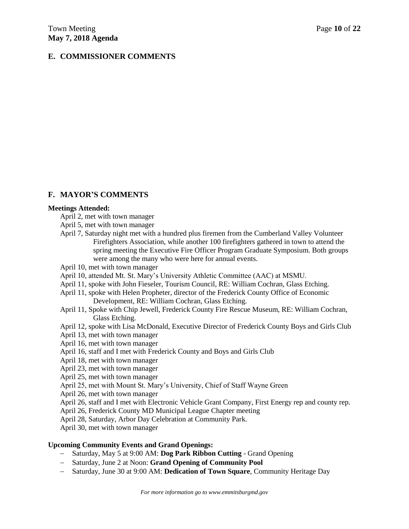# **E. COMMISSIONER COMMENTS**

# **F. MAYOR'S COMMENTS**

### **Meetings Attended:**

- April 2, met with town manager
- April 5, met with town manager
- April 7, Saturday night met with a hundred plus firemen from the Cumberland Valley Volunteer Firefighters Association, while another 100 firefighters gathered in town to attend the spring meeting the Executive Fire Officer Program Graduate Symposium. Both groups were among the many who were here for annual events.
- April 10, met with town manager
- April 10, attended Mt. St. Mary's University Athletic Committee (AAC) at MSMU.
- April 11, spoke with John Fieseler, Tourism Council, RE: William Cochran, Glass Etching.
- April 11, spoke with Helen Propheter, director of the Frederick County Office of Economic Development, RE: William Cochran, Glass Etching.
- April 11, Spoke with Chip Jewell, Frederick County Fire Rescue Museum, RE: William Cochran, Glass Etching.
- April 12, spoke with Lisa McDonald, Executive Director of Frederick County Boys and Girls Club
- April 13, met with town manager
- April 16, met with town manager
- April 16, staff and I met with Frederick County and Boys and Girls Club
- April 18, met with town manager
- April 23, met with town manager
- April 25, met with town manager
- April 25, met with Mount St. Mary's University, Chief of Staff Wayne Green
- April 26, met with town manager
- April 26, staff and I met with Electronic Vehicle Grant Company, First Energy rep and county rep.
- April 26, Frederick County MD Municipal League Chapter meeting
- April 28, Saturday, Arbor Day Celebration at Community Park.
- April 30, met with town manager

### **Upcoming Community Events and Grand Openings:**

- Saturday, May 5 at 9:00 AM: **Dog Park Ribbon Cutting** Grand Opening
- Saturday, June 2 at Noon: **Grand Opening of Community Pool**
- Saturday, June 30 at 9:00 AM: **Dedication of Town Square**, Community Heritage Day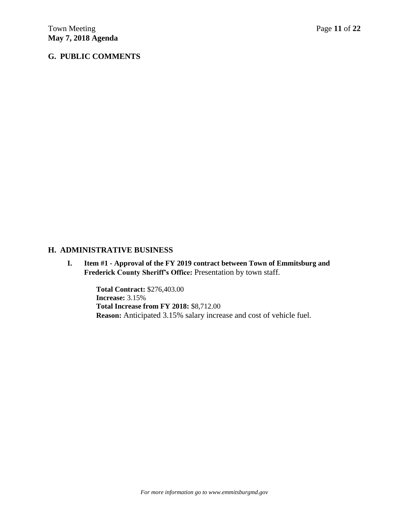# **G. PUBLIC COMMENTS**

# **H. ADMINISTRATIVE BUSINESS**

**I. Item #1 - Approval of the FY 2019 contract between Town of Emmitsburg and Frederick County Sheriff's Office:** Presentation by town staff.

> **Total Contract:** \$276,403.00 **Increase:** 3.15% **Total Increase from FY 2018:** \$8,712.00 **Reason:** Anticipated 3.15% salary increase and cost of vehicle fuel.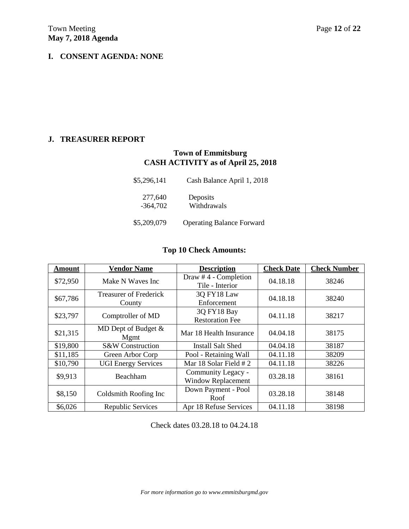# **I. CONSENT AGENDA: NONE**

## **J. TREASURER REPORT**

# **Town of Emmitsburg CASH ACTIVITY as of April 25, 2018**

| \$5,296,141           | Cash Balance April 1, 2018       |
|-----------------------|----------------------------------|
| 277,640<br>$-364,702$ | Deposits<br>Withdrawals          |
| \$5,209,079           | <b>Operating Balance Forward</b> |

# **Top 10 Check Amounts:**

| <b>Amount</b> | <b>Vendor Name</b>                      | <b>Description</b>                              | <b>Check Date</b> | <b>Check Number</b> |
|---------------|-----------------------------------------|-------------------------------------------------|-------------------|---------------------|
| \$72,950      | Make N Waves Inc.                       | Draw $#$ 4 - Completion<br>Tile - Interior      | 04.18.18          | 38246               |
| \$67,786      | <b>Treasurer of Frederick</b><br>County | 3Q FY18 Law<br>Enforcement                      | 04.18.18          | 38240               |
| \$23,797      | Comptroller of MD                       | 3Q FY18 Bay<br><b>Restoration Fee</b>           | 04.11.18          | 38217               |
| \$21,315      | MD Dept of Budget $&$<br>Mgmt           | Mar 18 Health Insurance                         | 04.04.18          | 38175               |
| \$19,800      | S&W Construction                        | <b>Install Salt Shed</b>                        | 04.04.18          | 38187               |
| \$11,185      | Green Arbor Corp                        | Pool - Retaining Wall                           | 04.11.18          | 38209               |
| \$10,790      | <b>UGI Energy Services</b>              | Mar 18 Solar Field #2                           | 04.11.18          | 38226               |
| \$9,913       | Beachham                                | Community Legacy -<br><b>Window Replacement</b> | 03.28.18          | 38161               |
| \$8,150       | Coldsmith Roofing Inc                   | Down Payment - Pool<br>Roof                     | 03.28.18          | 38148               |
| \$6,026       | Republic Services                       | Apr 18 Refuse Services                          | 04.11.18          | 38198               |

Check dates 03.28.18 to 04.24.18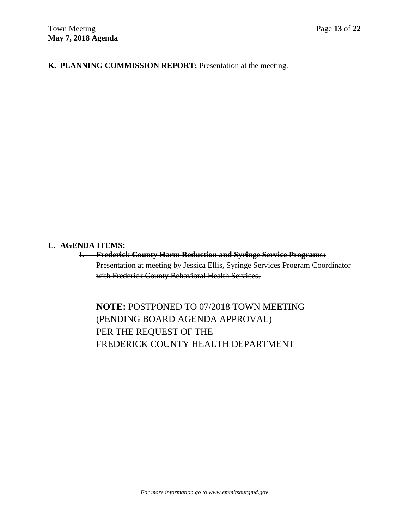**K. PLANNING COMMISSION REPORT:** Presentation at the meeting.

# **L. AGENDA ITEMS:**

**I. Frederick County Harm Reduction and Syringe Service Programs:**  Presentation at meeting by Jessica Ellis, Syringe Services Program Coordinator with Frederick County Behavioral Health Services.

**NOTE:** POSTPONED TO 07/2018 TOWN MEETING (PENDING BOARD AGENDA APPROVAL) PER THE REQUEST OF THE FREDERICK COUNTY HEALTH DEPARTMENT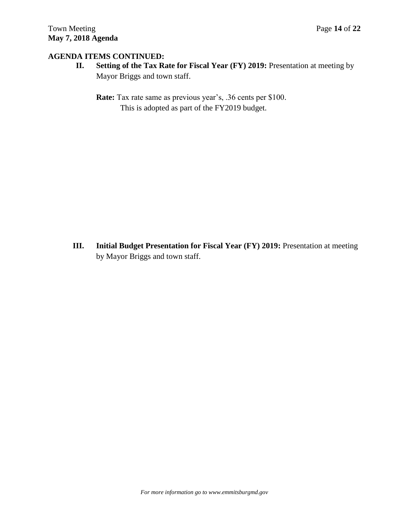**II. Setting of the Tax Rate for Fiscal Year (FY) 2019:** Presentation at meeting by Mayor Briggs and town staff.

**Rate:** Tax rate same as previous year's, .36 cents per \$100. This is adopted as part of the FY2019 budget.

**III.** Initial Budget Presentation for Fiscal Year (FY) 2019: Presentation at meeting by Mayor Briggs and town staff.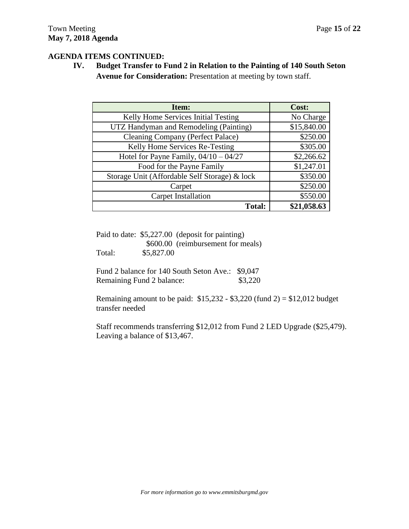**IV. Budget Transfer to Fund 2 in Relation to the Painting of 140 South Seton Avenue for Consideration:** Presentation at meeting by town staff.

| Item:                                         | Cost:       |
|-----------------------------------------------|-------------|
| Kelly Home Services Initial Testing           | No Charge   |
| UTZ Handyman and Remodeling (Painting)        | \$15,840.00 |
| <b>Cleaning Company (Perfect Palace)</b>      | \$250.00    |
| Kelly Home Services Re-Testing                | \$305.00    |
| Hotel for Payne Family, $04/10 - 04/27$       | \$2,266.62  |
| Food for the Payne Family                     | \$1,247.01  |
| Storage Unit (Affordable Self Storage) & lock | \$350.00    |
| Carpet                                        | \$250.00    |
| Carpet Installation                           | \$550.00    |
| <b>Total:</b>                                 | \$21,058.63 |

Paid to date: \$5,227.00 (deposit for painting) \$600.00 (reimbursement for meals) Total: \$5,827.00

Fund 2 balance for 140 South Seton Ave.: \$9,047 Remaining Fund 2 balance: \$3,220

Remaining amount to be paid:  $$15,232 - $3,220$  (fund 2) = \$12,012 budget transfer needed

Staff recommends transferring \$12,012 from Fund 2 LED Upgrade (\$25,479). Leaving a balance of \$13,467.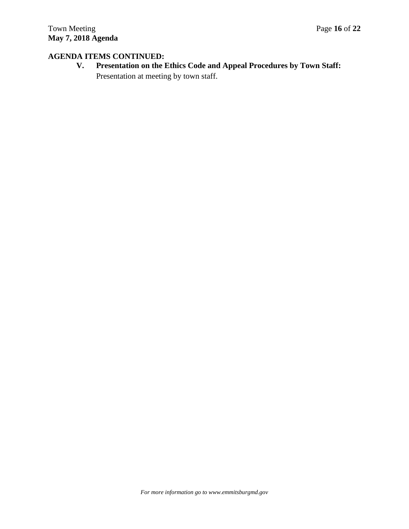**V. Presentation on the Ethics Code and Appeal Procedures by Town Staff:**  Presentation at meeting by town staff.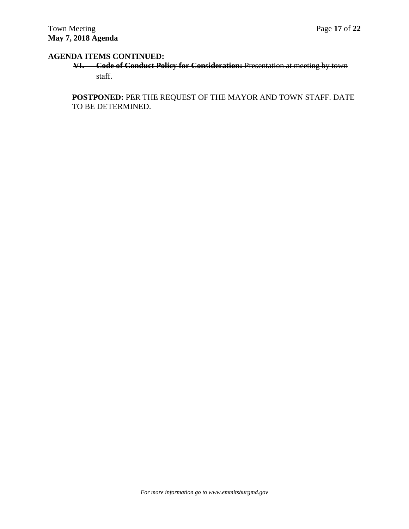**VI. Code of Conduct Policy for Consideration:** Presentation at meeting by town staff.

POSTPONED: PER THE REQUEST OF THE MAYOR AND TOWN STAFF. DATE TO BE DETERMINED.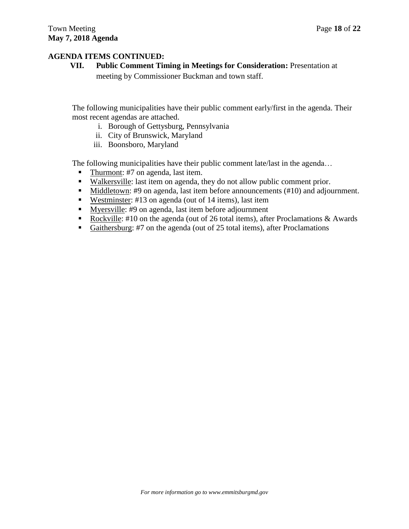**VII. Public Comment Timing in Meetings for Consideration:** Presentation at meeting by Commissioner Buckman and town staff.

The following municipalities have their public comment early/first in the agenda. Their most recent agendas are attached.

- i. Borough of Gettysburg, Pennsylvania
- ii. City of Brunswick, Maryland
- iii. Boonsboro, Maryland

The following municipalities have their public comment late/last in the agenda...

- Thurmont: #7 on agenda, last item.
- Walkersville: last item on agenda, they do not allow public comment prior.
- Middletown: #9 on agenda, last item before announcements (#10) and adjournment.
- Westminster: #13 on agenda (out of 14 items), last item
- Myersville: #9 on agenda, last item before adjournment
- Rockville:  $\#10$  on the agenda (out of 26 total items), after Proclamations & Awards
- Gaithersburg: #7 on the agenda (out of 25 total items), after Proclamations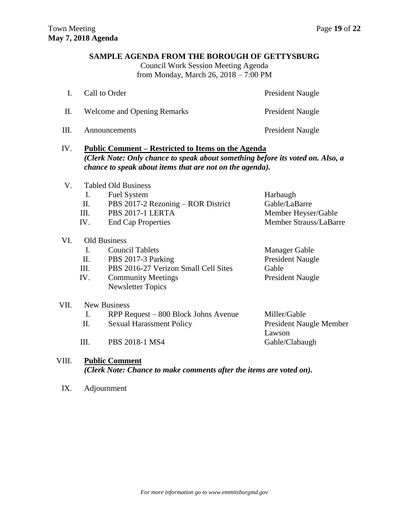### **SAMPLE AGENDA FROM THE BOROUGH OF GETTYSBURG**

Council Work Session Meeting Agenda from Monday, March 26, 2018 – 7:00 PM

|             | Call to Order<br><b>President Naugle</b>                                                                                                                                                         |                                  |  |
|-------------|--------------------------------------------------------------------------------------------------------------------------------------------------------------------------------------------------|----------------------------------|--|
| П.          | <b>Welcome and Opening Remarks</b>                                                                                                                                                               | <b>President Naugle</b>          |  |
| HI.         | Announcements                                                                                                                                                                                    | <b>President Naugle</b>          |  |
| IV.         | Public Comment – Restricted to Items on the Agenda<br>(Clerk Note: Only chance to speak about something before its voted on. Also, a<br>chance to speak about items that are not on the agenda). |                                  |  |
| $V_{\cdot}$ | <b>Tabled Old Business</b><br><b>Fuel System</b><br>$D_{\text{D}}$<br>TT.                                                                                                                        | Harbaugh<br>$C0$ $10$ $\pi$ $D0$ |  |

- II. PBS 2017-2 Rezoning ROR District Gable/LaBarre III. PBS 2017-1 LERTA Member Heyser/Gable IV. End Cap Properties Member Strauss/LaBarre VI. Old Business I. Council Tablets Manager Gable
- II. PBS 2017-3 Parking President Naugle III. PBS 2016-27 Verizon Small Cell Sites Gable IV. Community Meetings President Naugle Newsletter Topics VII. New Business

|     | $RPP$ Request $-800$ Block Johns Avenue | Miller/Gable                   |
|-----|-----------------------------------------|--------------------------------|
| -Н. | <b>Sexual Harassment Policy</b>         | <b>President Naugle Member</b> |
|     |                                         | Lawson                         |
| Ш   | PBS 2018-1 MS4                          | Gable/Clabaugh                 |

# VIII. **Public Comment**

*(Clerk Note: Chance to make comments after the items are voted on).*

IX. Adjournment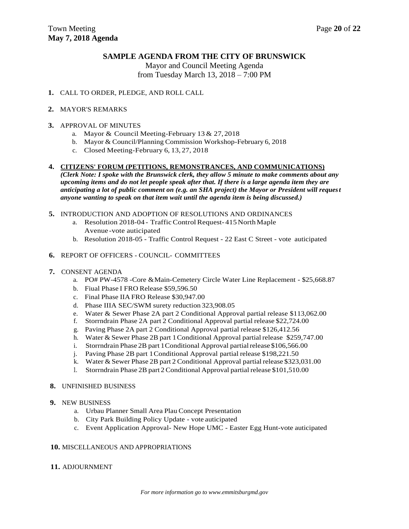## **SAMPLE AGENDA FROM THE CITY OF BRUNSWICK**

Mayor and Council Meeting Agenda from Tuesday March 13, 2018 – 7:00 PM

### **1.** CALL TO ORDER, PLEDGE, AND ROLL CALL

#### **2.** MAYOR'S REMARKS

#### **3.** APPROVAL OF MINUTES

- a. Mayor & Council Meeting-February 13 & 27, 2018
- b. Mayor & Council/Planning Commission Workshop-February 6, 2018
- c. Closed Meeting-February 6, 13, 27, 2018

#### **4. CITIZENS' FORUM (PETITIONS, REMONSTRANCES, AND COMMUNICATIONS)**

*(Clerk Note: I spoke with the Brunswick clerk, they allow 5 minute to make comments about any upcoming items and do not let people speak after that. If there is a large agenda item they are anticipating a lot of public comment on (e.g. an SHA project) the Mayor or President will request anyone wanting to speak on that item wait until the agenda item is being discussed.)*

#### **5.** INTRODUCTION AND ADOPTION OF RESOLUTIONS AND ORDINANCES

- a. Resolution 2018-04 Traffic Control Request-415 North Maple Avenue -vote auticipated
- b. Resolution 2018-05 Traffic Control Request 22 East C Street vote auticipated

#### **6.** REPORT OF OFFICERS - COUNCIL- COMMITTEES

#### **7.** CONSENT AGENDA

- a. PO# PW-4578 -Core &Main-Cemetery Circle Water Line Replacement \$25,668.87
- b. Fiual Phase I FRO Release \$59,596.50
- c. Final Phase IIA FRO Release \$30,947.00
- d. Phase IIIA SEC/SWM surety reduction 323,908.05
- e. Water & Sewer Phase 2A part 2 Conditional Approval partial release \$113,062.00
- f. Storrndrain Phase 2A part 2 Conditional Approval partial release \$22,724.00
- g. Paving Phase 2A part 2 Conditional Approval partial release \$126,412.56
- h. Water & Sewer Phase 2B part 1Conditional Approval partial release \$259,747.00
- i. Storrndrain Phase 2B part 1Conditional Approval partialrelease \$106,566.00
- j. Paving Phase 2B part 1Conditional Approval partial release \$198,221.50
- k. Water & Sewer Phase 2B part 2 Conditional Approval partial release  $$323,031.00$
- 1. Storrndrain Phase 2B part 2 Conditional Approval partial release \$101,510.00

#### **8.** UNFINISHED BUSINESS

#### **9.** NEW BUSINESS

- a. Urbau Planner Small Area Plau Concept Presentation
- b. City Park Building Policy Update vote auticipated
- c. Event Application Approval- New Hope UMC Easter Egg Hunt-vote auticipated

#### **10.** MISCELLANEOUS AND APPROPRIATIONS

### **11.** ADJOURNMENT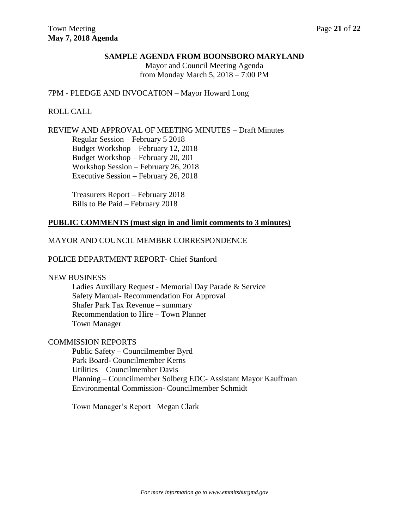### **SAMPLE AGENDA FROM BOONSBORO MARYLAND**

Mayor and Council Meeting Agenda from Monday March 5, 2018 – 7:00 PM

## 7PM - PLEDGE AND INVOCATION – Mayor Howard Long

# ROLL CALL

REVIEW AND APPROVAL OF MEETING MINUTES – Draft Minutes Regular Session – February 5 2018 Budget Workshop – February 12, 2018 Budget Workshop – February 20, 201 Workshop Session – February 26, 2018 Executive Session – February 26, 2018

> Treasurers Report – February 2018 Bills to Be Paid – February 2018

## **PUBLIC COMMENTS (must sign in and limit comments to 3 minutes)**

# MAYOR AND COUNCIL MEMBER CORRESPONDENCE

## POLICE DEPARTMENT REPORT- Chief Stanford

### NEW BUSINESS

Ladies Auxiliary Request - Memorial Day Parade & Service Safety Manual- Recommendation For Approval Shafer Park Tax Revenue – summary Recommendation to Hire – Town Planner Town Manager

### COMMISSION REPORTS

Public Safety – Councilmember Byrd Park Board- Councilmember Kerns Utilities – Councilmember Davis Planning – Councilmember Solberg EDC- Assistant Mayor Kauffman Environmental Commission- Councilmember Schmidt

Town Manager's Report –Megan Clark